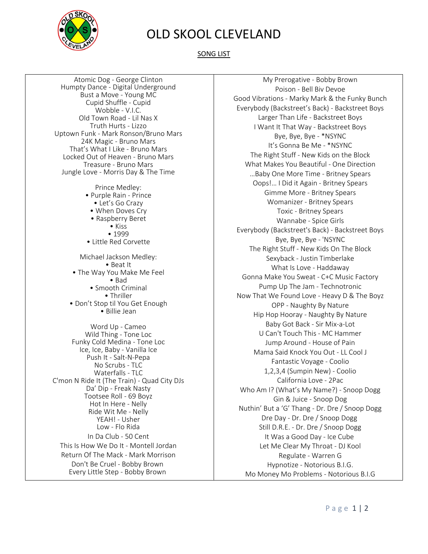

## OLD SKOOL CLEVELAND

SONG LIST

Atomic Dog - George Clinton Humpty Dance - Digital Underground Bust a Move - Young MC Cupid Shuffle - Cupid Wobble - V.I.C. Old Town Road - Lil Nas X Truth Hurts - Lizzo Uptown Funk - Mark Ronson/Bruno Mars 24K Magic - Bruno Mars That's What I Like - Bruno Mars Locked Out of Heaven - Bruno Mars Treasure - Bruno Mars Jungle Love - Morris Day & The Time

> Prince Medley: • Purple Rain - Prince • Let's Go Crazy • When Doves Cry • Raspberry Beret • Kiss • 1999 • Little Red Corvette Michael Jackson Medley: • Beat It • The Way You Make Me Feel • Bad • Smooth Criminal • Thriller • Don't Stop til You Get Enough • Billie Jean

Word Up - Cameo Wild Thing - Tone Loc Funky Cold Medina - Tone Loc Ice, Ice, Baby - Vanilla Ice Push It - Salt-N-Pepa No Scrubs - TLC Waterfalls - TLC C'mon N Ride It (The Train) - Quad City DJs Da' Dip - Freak Nasty Tootsee Roll - 69 Boyz Hot In Here - Nelly Ride Wit Me - Nelly YEAH! - Usher Low - Flo Rida In Da Club - 50 Cent This Is How We Do It - Montell Jordan Return Of The Mack - Mark Morrison Don't Be Cruel - Bobby Brown Every Little Step - Bobby Brown

My Prerogative - Bobby Brown Poison - Bell Biv Devoe Good Vibrations - Marky Mark & the Funky Bunch Everybody (Backstreet's Back) - Backstreet Boys Larger Than Life - Backstreet Boys I Want It That Way - Backstreet Boys Bye, Bye, Bye - \*NSYNC It's Gonna Be Me - \*NSYNC The Right Stuff - New Kids on the Block What Makes You Beautiful - One Direction …Baby One More Time - Britney Spears Oops!… I Did it Again - Britney Spears Gimme More - Britney Spears Womanizer - Britney Spears Toxic - Britney Spears Wannabe - Spice Girls Everybody (Backstreet's Back) - Backstreet Boys Bye, Bye, Bye - 'NSYNC The Right Stuff - New Kids On The Block Sexyback - Justin Timberlake What Is Love - Haddaway Gonna Make You Sweat - C+C Music Factory Pump Up The Jam - Technotronic Now That We Found Love - Heavy D & The Boyz OPP - Naughty By Nature Hip Hop Hooray - Naughty By Nature Baby Got Back - Sir Mix-a-Lot U Can't Touch This - MC Hammer Jump Around - House of Pain Mama Said Knock You Out - LL Cool J Fantastic Voyage - Coolio 1,2,3,4 (Sumpin New) - Coolio California Love - 2Pac Who Am I? (What's My Name?) - Snoop Dogg Gin & Juice - Snoop Dog Nuthin' But a 'G' Thang - Dr. Dre / Snoop Dogg Dre Day - Dr. Dre / Snoop Dogg Still D.R.E. - Dr. Dre / Snoop Dogg It Was a Good Day - Ice Cube Let Me Clear My Throat - DJ Kool Regulate - Warren G Hypnotize - Notorious B.I.G. Mo Money Mo Problems - Notorious B.I.G